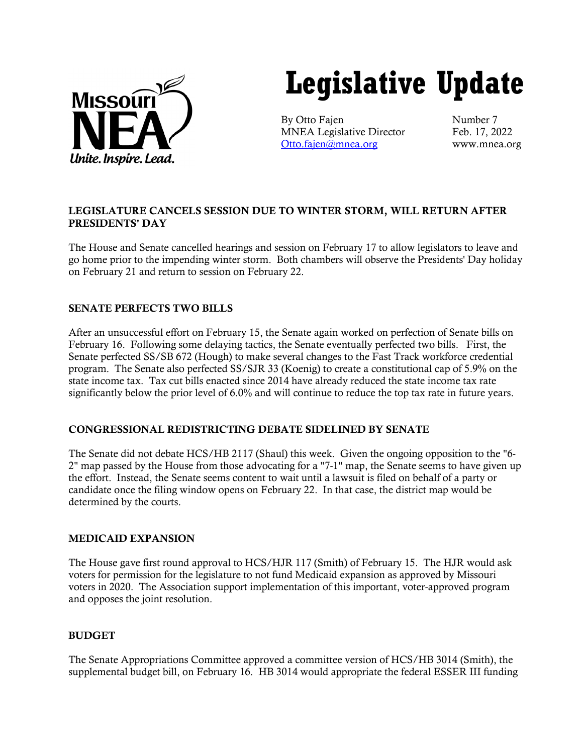

# **Legislative Update**

By Otto Fajen Number 7 MNEA Legislative Director Feb. 17, 2022 [Otto.fajen@mnea.org](mailto:Otto.fajen@mnea.org) www.mnea.org

# LEGISLATURE CANCELS SESSION DUE TO WINTER STORM, WILL RETURN AFTER PRESIDENTS' DAY

The House and Senate cancelled hearings and session on February 17 to allow legislators to leave and go home prior to the impending winter storm. Both chambers will observe the Presidents' Day holiday on February 21 and return to session on February 22.

# SENATE PERFECTS TWO BILLS

After an unsuccessful effort on February 15, the Senate again worked on perfection of Senate bills on February 16. Following some delaying tactics, the Senate eventually perfected two bills. First, the Senate perfected SS/SB 672 (Hough) to make several changes to the Fast Track workforce credential program. The Senate also perfected SS/SJR 33 (Koenig) to create a constitutional cap of 5.9% on the state income tax. Tax cut bills enacted since 2014 have already reduced the state income tax rate significantly below the prior level of 6.0% and will continue to reduce the top tax rate in future years.

### CONGRESSIONAL REDISTRICTING DEBATE SIDELINED BY SENATE

The Senate did not debate HCS/HB 2117 (Shaul) this week. Given the ongoing opposition to the "6- 2" map passed by the House from those advocating for a "7-1" map, the Senate seems to have given up the effort. Instead, the Senate seems content to wait until a lawsuit is filed on behalf of a party or candidate once the filing window opens on February 22. In that case, the district map would be determined by the courts.

#### MEDICAID EXPANSION

The House gave first round approval to HCS/HJR 117 (Smith) of February 15. The HJR would ask voters for permission for the legislature to not fund Medicaid expansion as approved by Missouri voters in 2020. The Association support implementation of this important, voter-approved program and opposes the joint resolution.

### **BUDGET**

The Senate Appropriations Committee approved a committee version of HCS/HB 3014 (Smith), the supplemental budget bill, on February 16. HB 3014 would appropriate the federal ESSER III funding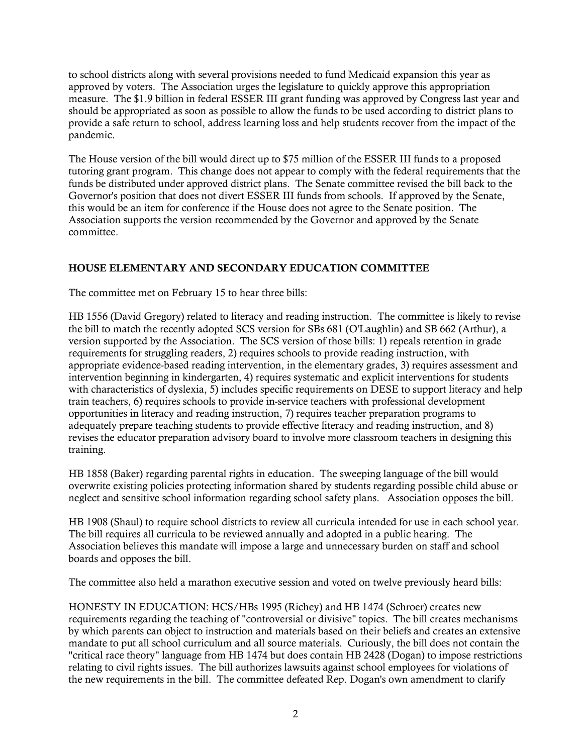to school districts along with several provisions needed to fund Medicaid expansion this year as approved by voters. The Association urges the legislature to quickly approve this appropriation measure. The \$1.9 billion in federal ESSER III grant funding was approved by Congress last year and should be appropriated as soon as possible to allow the funds to be used according to district plans to provide a safe return to school, address learning loss and help students recover from the impact of the pandemic.

The House version of the bill would direct up to \$75 million of the ESSER III funds to a proposed tutoring grant program. This change does not appear to comply with the federal requirements that the funds be distributed under approved district plans. The Senate committee revised the bill back to the Governor's position that does not divert ESSER III funds from schools. If approved by the Senate, this would be an item for conference if the House does not agree to the Senate position. The Association supports the version recommended by the Governor and approved by the Senate committee.

# HOUSE ELEMENTARY AND SECONDARY EDUCATION COMMITTEE

The committee met on February 15 to hear three bills:

HB 1556 (David Gregory) related to literacy and reading instruction. The committee is likely to revise the bill to match the recently adopted SCS version for SBs 681 (O'Laughlin) and SB 662 (Arthur), a version supported by the Association. The SCS version of those bills: 1) repeals retention in grade requirements for struggling readers, 2) requires schools to provide reading instruction, with appropriate evidence-based reading intervention, in the elementary grades, 3) requires assessment and intervention beginning in kindergarten, 4) requires systematic and explicit interventions for students with characteristics of dyslexia, 5) includes specific requirements on DESE to support literacy and help train teachers, 6) requires schools to provide in-service teachers with professional development opportunities in literacy and reading instruction, 7) requires teacher preparation programs to adequately prepare teaching students to provide effective literacy and reading instruction, and 8) revises the educator preparation advisory board to involve more classroom teachers in designing this training.

HB 1858 (Baker) regarding parental rights in education. The sweeping language of the bill would overwrite existing policies protecting information shared by students regarding possible child abuse or neglect and sensitive school information regarding school safety plans. Association opposes the bill.

HB 1908 (Shaul) to require school districts to review all curricula intended for use in each school year. The bill requires all curricula to be reviewed annually and adopted in a public hearing. The Association believes this mandate will impose a large and unnecessary burden on staff and school boards and opposes the bill.

The committee also held a marathon executive session and voted on twelve previously heard bills:

HONESTY IN EDUCATION: HCS/HBs 1995 (Richey) and HB 1474 (Schroer) creates new requirements regarding the teaching of "controversial or divisive" topics. The bill creates mechanisms by which parents can object to instruction and materials based on their beliefs and creates an extensive mandate to put all school curriculum and all source materials. Curiously, the bill does not contain the "critical race theory" language from HB 1474 but does contain HB 2428 (Dogan) to impose restrictions relating to civil rights issues. The bill authorizes lawsuits against school employees for violations of the new requirements in the bill. The committee defeated Rep. Dogan's own amendment to clarify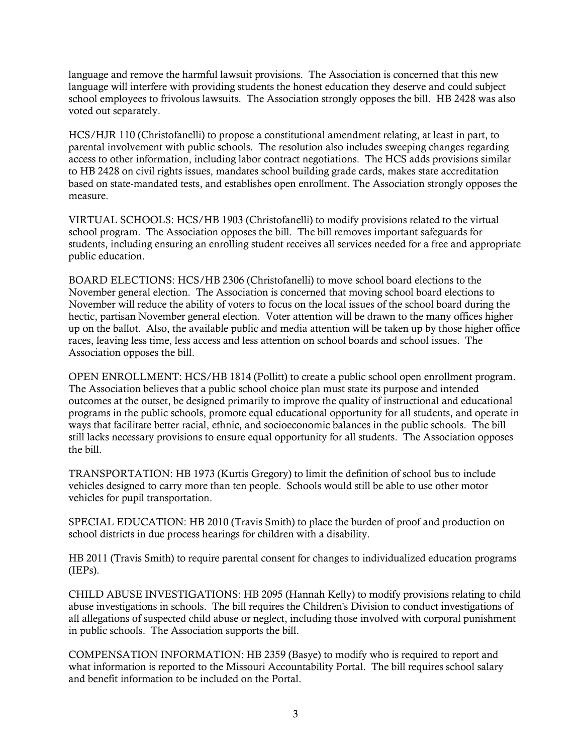language and remove the harmful lawsuit provisions. The Association is concerned that this new language will interfere with providing students the honest education they deserve and could subject school employees to frivolous lawsuits. The Association strongly opposes the bill. HB 2428 was also voted out separately.

HCS/HJR 110 (Christofanelli) to propose a constitutional amendment relating, at least in part, to parental involvement with public schools. The resolution also includes sweeping changes regarding access to other information, including labor contract negotiations. The HCS adds provisions similar to HB 2428 on civil rights issues, mandates school building grade cards, makes state accreditation based on state-mandated tests, and establishes open enrollment. The Association strongly opposes the measure.

VIRTUAL SCHOOLS: HCS/HB 1903 (Christofanelli) to modify provisions related to the virtual school program. The Association opposes the bill. The bill removes important safeguards for students, including ensuring an enrolling student receives all services needed for a free and appropriate public education.

BOARD ELECTIONS: HCS/HB 2306 (Christofanelli) to move school board elections to the November general election. The Association is concerned that moving school board elections to November will reduce the ability of voters to focus on the local issues of the school board during the hectic, partisan November general election. Voter attention will be drawn to the many offices higher up on the ballot. Also, the available public and media attention will be taken up by those higher office races, leaving less time, less access and less attention on school boards and school issues. The Association opposes the bill.

OPEN ENROLLMENT: HCS/HB 1814 (Pollitt) to create a public school open enrollment program. The Association believes that a public school choice plan must state its purpose and intended outcomes at the outset, be designed primarily to improve the quality of instructional and educational programs in the public schools, promote equal educational opportunity for all students, and operate in ways that facilitate better racial, ethnic, and socioeconomic balances in the public schools. The bill still lacks necessary provisions to ensure equal opportunity for all students. The Association opposes the bill.

TRANSPORTATION: HB 1973 (Kurtis Gregory) to limit the definition of school bus to include vehicles designed to carry more than ten people. Schools would still be able to use other motor vehicles for pupil transportation.

SPECIAL EDUCATION: HB 2010 (Travis Smith) to place the burden of proof and production on school districts in due process hearings for children with a disability.

HB 2011 (Travis Smith) to require parental consent for changes to individualized education programs (IEPs).

CHILD ABUSE INVESTIGATIONS: HB 2095 (Hannah Kelly) to modify provisions relating to child abuse investigations in schools. The bill requires the Children's Division to conduct investigations of all allegations of suspected child abuse or neglect, including those involved with corporal punishment in public schools. The Association supports the bill.

COMPENSATION INFORMATION: HB 2359 (Basye) to modify who is required to report and what information is reported to the Missouri Accountability Portal. The bill requires school salary and benefit information to be included on the Portal.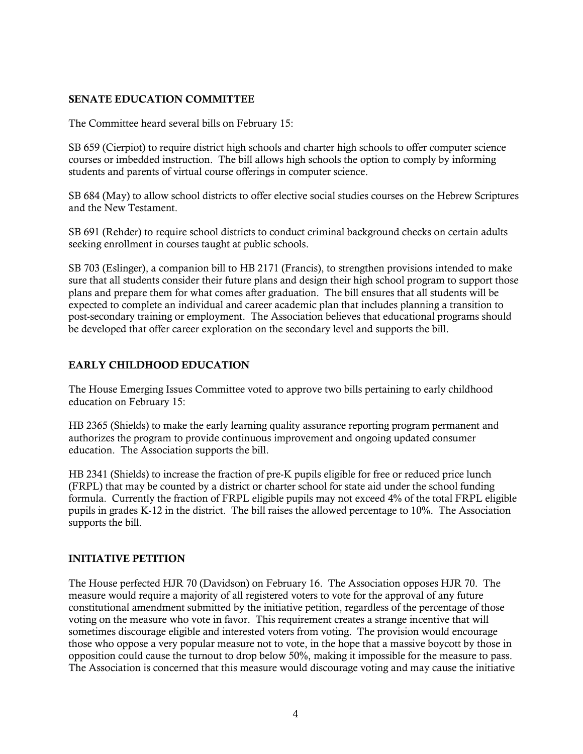## SENATE EDUCATION COMMITTEE

The Committee heard several bills on February 15:

SB 659 (Cierpiot) to require district high schools and charter high schools to offer computer science courses or imbedded instruction. The bill allows high schools the option to comply by informing students and parents of virtual course offerings in computer science.

SB 684 (May) to allow school districts to offer elective social studies courses on the Hebrew Scriptures and the New Testament.

SB 691 (Rehder) to require school districts to conduct criminal background checks on certain adults seeking enrollment in courses taught at public schools.

SB 703 (Eslinger), a companion bill to HB 2171 (Francis), to strengthen provisions intended to make sure that all students consider their future plans and design their high school program to support those plans and prepare them for what comes after graduation. The bill ensures that all students will be expected to complete an individual and career academic plan that includes planning a transition to post-secondary training or employment. The Association believes that educational programs should be developed that offer career exploration on the secondary level and supports the bill.

# EARLY CHILDHOOD EDUCATION

The House Emerging Issues Committee voted to approve two bills pertaining to early childhood education on February 15:

HB 2365 (Shields) to make the early learning quality assurance reporting program permanent and authorizes the program to provide continuous improvement and ongoing updated consumer education. The Association supports the bill.

HB 2341 (Shields) to increase the fraction of pre-K pupils eligible for free or reduced price lunch (FRPL) that may be counted by a district or charter school for state aid under the school funding formula. Currently the fraction of FRPL eligible pupils may not exceed 4% of the total FRPL eligible pupils in grades K-12 in the district. The bill raises the allowed percentage to 10%. The Association supports the bill.

### INITIATIVE PETITION

The House perfected HJR 70 (Davidson) on February 16. The Association opposes HJR 70. The measure would require a majority of all registered voters to vote for the approval of any future constitutional amendment submitted by the initiative petition, regardless of the percentage of those voting on the measure who vote in favor. This requirement creates a strange incentive that will sometimes discourage eligible and interested voters from voting. The provision would encourage those who oppose a very popular measure not to vote, in the hope that a massive boycott by those in opposition could cause the turnout to drop below 50%, making it impossible for the measure to pass. The Association is concerned that this measure would discourage voting and may cause the initiative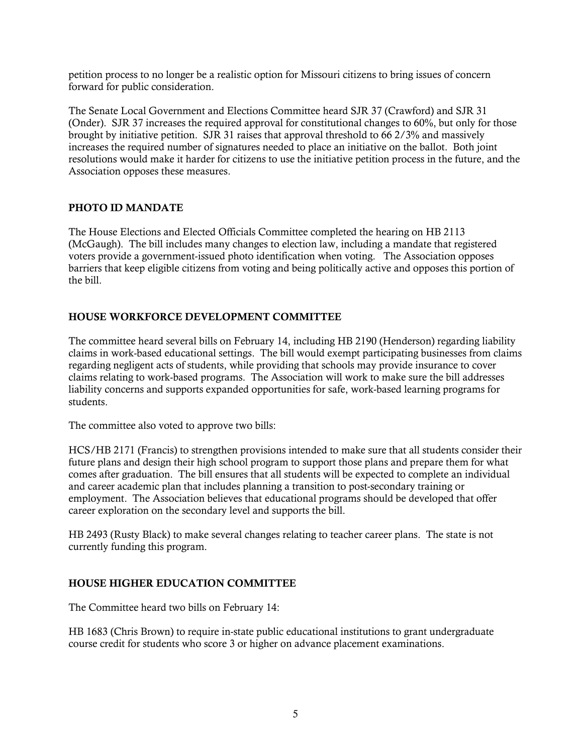petition process to no longer be a realistic option for Missouri citizens to bring issues of concern forward for public consideration.

The Senate Local Government and Elections Committee heard SJR 37 (Crawford) and SJR 31 (Onder). SJR 37 increases the required approval for constitutional changes to 60%, but only for those brought by initiative petition. SJR 31 raises that approval threshold to 66 2/3% and massively increases the required number of signatures needed to place an initiative on the ballot. Both joint resolutions would make it harder for citizens to use the initiative petition process in the future, and the Association opposes these measures.

#### PHOTO ID MANDATE

The House Elections and Elected Officials Committee completed the hearing on HB 2113 (McGaugh). The bill includes many changes to election law, including a mandate that registered voters provide a government-issued photo identification when voting. The Association opposes barriers that keep eligible citizens from voting and being politically active and opposes this portion of the bill.

### HOUSE WORKFORCE DEVELOPMENT COMMITTEE

The committee heard several bills on February 14, including HB 2190 (Henderson) regarding liability claims in work-based educational settings. The bill would exempt participating businesses from claims regarding negligent acts of students, while providing that schools may provide insurance to cover claims relating to work-based programs. The Association will work to make sure the bill addresses liability concerns and supports expanded opportunities for safe, work-based learning programs for students.

The committee also voted to approve two bills:

HCS/HB 2171 (Francis) to strengthen provisions intended to make sure that all students consider their future plans and design their high school program to support those plans and prepare them for what comes after graduation. The bill ensures that all students will be expected to complete an individual and career academic plan that includes planning a transition to post-secondary training or employment. The Association believes that educational programs should be developed that offer career exploration on the secondary level and supports the bill.

HB 2493 (Rusty Black) to make several changes relating to teacher career plans. The state is not currently funding this program.

### HOUSE HIGHER EDUCATION COMMITTEE

The Committee heard two bills on February 14:

HB 1683 (Chris Brown) to require in-state public educational institutions to grant undergraduate course credit for students who score 3 or higher on advance placement examinations.